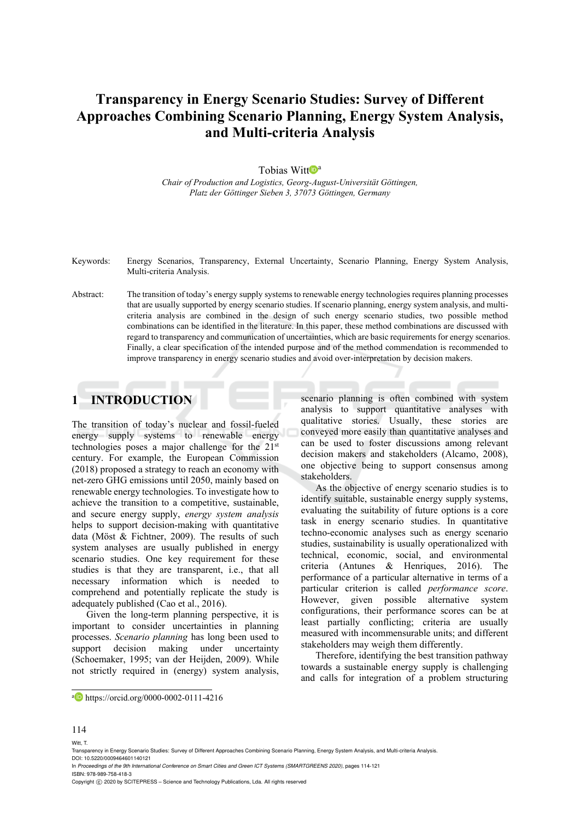# **Transparency in Energy Scenario Studies: Survey of Different Approaches Combining Scenario Planning, Energy System Analysis, and Multi-criteria Analysis**

#### Tobias Witt $\mathbf{D}^{\text{a}}$

*Chair of Production and Logistics, Georg-August-Universität Göttingen, Platz der Göttinger Sieben 3, 37073 Göttingen, Germany* 

- Keywords: Energy Scenarios, Transparency, External Uncertainty, Scenario Planning, Energy System Analysis, Multi-criteria Analysis.
- Abstract: The transition of today's energy supply systems to renewable energy technologies requires planning processes that are usually supported by energy scenario studies. If scenario planning, energy system analysis, and multicriteria analysis are combined in the design of such energy scenario studies, two possible method combinations can be identified in the literature. In this paper, these method combinations are discussed with regard to transparency and communication of uncertainties, which are basic requirements for energy scenarios. Finally, a clear specification of the intended purpose and of the method commendation is recommended to improve transparency in energy scenario studies and avoid over-interpretation by decision makers.

### **1 INTRODUCTION**

The transition of today's nuclear and fossil-fueled energy supply systems to renewable energy technologies poses a major challenge for the 21st century. For example, the European Commission (2018) proposed a strategy to reach an economy with net-zero GHG emissions until 2050, mainly based on renewable energy technologies. To investigate how to achieve the transition to a competitive, sustainable, and secure energy supply, *energy system analysis* helps to support decision-making with quantitative data (Möst & Fichtner, 2009). The results of such system analyses are usually published in energy scenario studies. One key requirement for these studies is that they are transparent, i.e., that all necessary information which is needed to comprehend and potentially replicate the study is adequately published (Cao et al., 2016).

Given the long-term planning perspective, it is important to consider uncertainties in planning processes. *Scenario planning* has long been used to support decision making under uncertainty (Schoemaker, 1995; van der Heijden, 2009). While not strictly required in (energy) system analysis,

scenario planning is often combined with system analysis to support quantitative analyses with qualitative stories. Usually, these stories are conveyed more easily than quantitative analyses and can be used to foster discussions among relevant decision makers and stakeholders (Alcamo, 2008), one objective being to support consensus among stakeholders.

As the objective of energy scenario studies is to identify suitable, sustainable energy supply systems, evaluating the suitability of future options is a core task in energy scenario studies. In quantitative techno-economic analyses such as energy scenario studies, sustainability is usually operationalized with technical, economic, social, and environmental criteria (Antunes & Henriques, 2016). The performance of a particular alternative in terms of a particular criterion is called *performance score*. However, given possible alternative system configurations, their performance scores can be at least partially conflicting; criteria are usually measured with incommensurable units; and different stakeholders may weigh them differently.

Therefore, identifying the best transition pathway towards a sustainable energy supply is challenging and calls for integration of a problem structuring

 $\overline{a}$ 

Witt, T.

ISBN: 978-989-758-418-3

In *Proceedings of the 9th International Conference on Smart Cities and Green ICT Systems (SMARTGREENS 2020)*, pages 114-121

a **https://orcid.org/0000-0002-0111-4216** 

<sup>114</sup>

Transparency in Energy Scenario Studies: Survey of Different Approaches Combining Scenario Planning, Energy System Analysis, and Multi-criteria Analysis. DOI: 10.5220/0009464601140121

Copyright C 2020 by SCITEPRESS - Science and Technology Publications, Lda. All rights reserved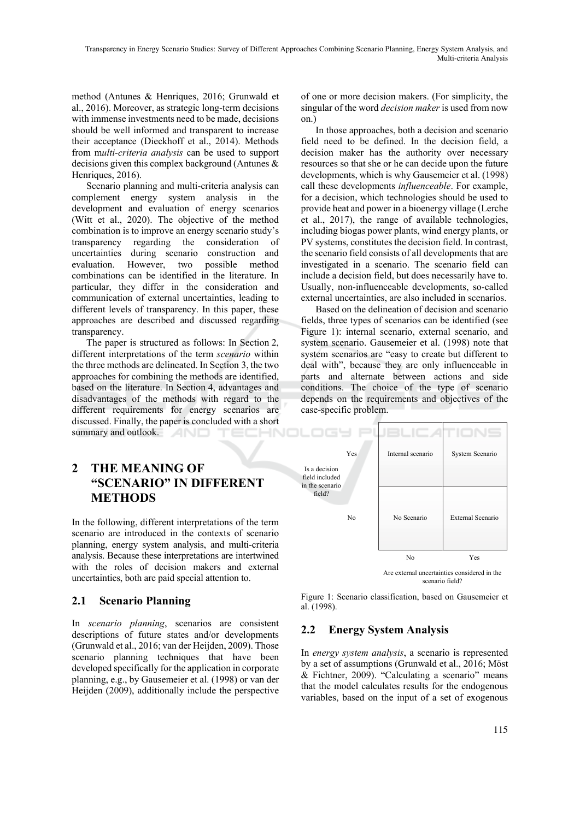method (Antunes & Henriques, 2016; Grunwald et al., 2016). Moreover, as strategic long-term decisions with immense investments need to be made, decisions should be well informed and transparent to increase their acceptance (Dieckhoff et al., 2014). Methods from m*ulti-criteria analysis* can be used to support decisions given this complex background (Antunes & Henriques, 2016).

Scenario planning and multi-criteria analysis can complement energy system analysis in the development and evaluation of energy scenarios (Witt et al., 2020). The objective of the method combination is to improve an energy scenario study's transparency regarding the consideration of uncertainties during scenario construction and evaluation. However, two possible method combinations can be identified in the literature. In particular, they differ in the consideration and communication of external uncertainties, leading to different levels of transparency. In this paper, these approaches are described and discussed regarding transparency.

The paper is structured as follows: In Section 2, different interpretations of the term *scenario* within the three methods are delineated. In Section 3, the two approaches for combining the methods are identified, based on the literature. In Section 4, advantages and disadvantages of the methods with regard to the different requirements for energy scenarios are discussed. Finally, the paper is concluded with a short summary and outlook.

of one or more decision makers. (For simplicity, the singular of the word *decision maker* is used from now on.)

In those approaches, both a decision and scenario field need to be defined. In the decision field, a decision maker has the authority over necessary resources so that she or he can decide upon the future developments, which is why Gausemeier et al. (1998) call these developments *influenceable*. For example, for a decision, which technologies should be used to provide heat and power in a bioenergy village (Lerche et al., 2017), the range of available technologies, including biogas power plants, wind energy plants, or PV systems, constitutes the decision field. In contrast, the scenario field consists of all developments that are investigated in a scenario. The scenario field can include a decision field, but does necessarily have to. Usually, non-influenceable developments, so-called external uncertainties, are also included in scenarios.

Based on the delineation of decision and scenario fields, three types of scenarios can be identified (see Figure 1): internal scenario, external scenario, and system scenario. Gausemeier et al. (1998) note that system scenarios are "easy to create but different to deal with", because they are only influenceable in parts and alternate between actions and side conditions. The choice of the type of scenario depends on the requirements and objectives of the case-specific problem.

## **2 THE MEANING OF "SCENARIO" IN DIFFERENT METHODS**

In the following, different interpretations of the term scenario are introduced in the contexts of scenario planning, energy system analysis, and multi-criteria analysis. Because these interpretations are intertwined with the roles of decision makers and external uncertainties, both are paid special attention to.

### **2.1 Scenario Planning**

In *scenario planning*, scenarios are consistent descriptions of future states and/or developments (Grunwald et al., 2016; van der Heijden, 2009). Those scenario planning techniques that have been developed specifically for the application in corporate planning, e.g., by Gausemeier et al. (1998) or van der Heijden (2009), additionally include the perspective



scenario field?

Figure 1: Scenario classification, based on Gausemeier et al. (1998).

#### **2.2 Energy System Analysis**

In *energy system analysis*, a scenario is represented by a set of assumptions (Grunwald et al., 2016; Möst & Fichtner, 2009). "Calculating a scenario" means that the model calculates results for the endogenous variables, based on the input of a set of exogenous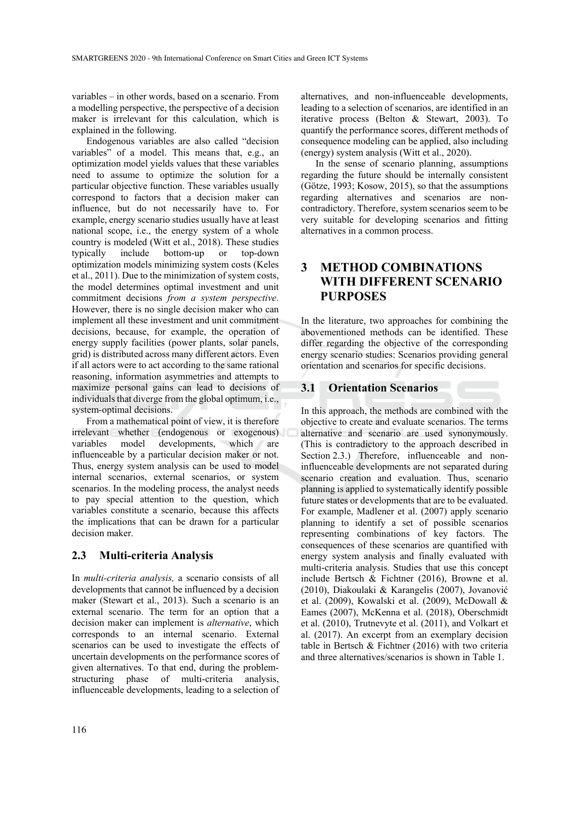variables – in other words, based on a scenario. From a modelling perspective, the perspective of a decision maker is irrelevant for this calculation, which is explained in the following.

Endogenous variables are also called "decision variables" of a model. This means that, e.g., an optimization model yields values that these variables need to assume to optimize the solution for a particular objective function. These variables usually correspond to factors that a decision maker can influence, but do not necessarily have to. For example, energy scenario studies usually have at least national scope, i.e., the energy system of a whole country is modeled (Witt et al., 2018). These studies typically include bottom-up or top-down optimization models minimizing system costs (Keles et al., 2011). Due to the minimization of system costs, the model determines optimal investment and unit commitment decisions *from a system perspective*. However, there is no single decision maker who can implement all these investment and unit commitment decisions, because, for example, the operation of energy supply facilities (power plants, solar panels, grid) is distributed across many different actors. Even if all actors were to act according to the same rational reasoning, information asymmetries and attempts to maximize personal gains can lead to decisions of individuals that diverge from the global optimum, i.e., system-optimal decisions.

From a mathematical point of view, it is therefore irrelevant whether (endogenous or exogenous) variables model developments, which are influenceable by a particular decision maker or not. Thus, energy system analysis can be used to model internal scenarios, external scenarios, or system scenarios. In the modeling process, the analyst needs to pay special attention to the question, which variables constitute a scenario, because this affects the implications that can be drawn for a particular decision maker.

#### **2.3 Multi-criteria Analysis**

In *multi-criteria analysis,* a scenario consists of all developments that cannot be influenced by a decision maker (Stewart et al., 2013). Such a scenario is an external scenario. The term for an option that a decision maker can implement is *alternative*, which corresponds to an internal scenario. External scenarios can be used to investigate the effects of uncertain developments on the performance scores of given alternatives. To that end, during the problemstructuring phase of multi-criteria analysis, influenceable developments, leading to a selection of

alternatives, and non-influenceable developments, leading to a selection of scenarios, are identified in an iterative process (Belton & Stewart, 2003). To quantify the performance scores, different methods of consequence modeling can be applied, also including (energy) system analysis (Witt et al., 2020).

In the sense of scenario planning, assumptions regarding the future should be internally consistent (Götze, 1993; Kosow, 2015), so that the assumptions regarding alternatives and scenarios are noncontradictory. Therefore, system scenarios seem to be very suitable for developing scenarios and fitting alternatives in a common process.

### **3 METHOD COMBINATIONS WITH DIFFERENT SCENARIO PURPOSES**

In the literature, two approaches for combining the abovementioned methods can be identified. These differ regarding the objective of the corresponding energy scenario studies: Scenarios providing general orientation and scenarios for specific decisions.

#### **3.1 Orientation Scenarios**

In this approach, the methods are combined with the objective to create and evaluate scenarios. The terms alternative and scenario are used synonymously. (This is contradictory to the approach described in Section 2.3.) Therefore, influenceable and noninfluenceable developments are not separated during scenario creation and evaluation. Thus, scenario planning is applied to systematically identify possible future states or developments that are to be evaluated. For example, Madlener et al. (2007) apply scenario planning to identify a set of possible scenarios representing combinations of key factors. The consequences of these scenarios are quantified with energy system analysis and finally evaluated with multi-criteria analysis. Studies that use this concept include Bertsch & Fichtner (2016), Browne et al. (2010), Diakoulaki & Karangelis (2007), Jovanović et al. (2009), Kowalski et al. (2009), McDowall & Eames (2007), McKenna et al. (2018), Oberschmidt et al. (2010), Trutnevyte et al. (2011), and Volkart et al. (2017). An excerpt from an exemplary decision table in Bertsch & Fichtner (2016) with two criteria and three alternatives/scenarios is shown in Table 1.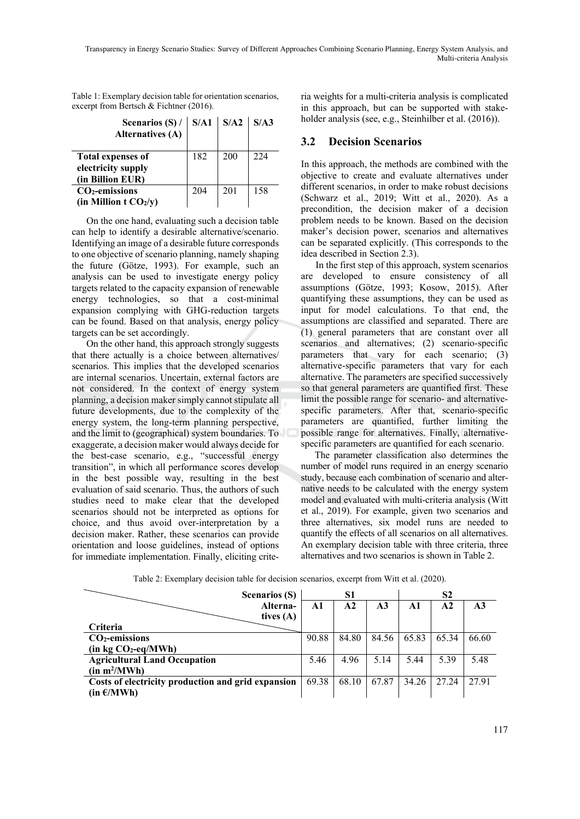| Scenarios $(S)$ /<br><b>Alternatives (A)</b>                       |     | $S/A1$ $S/A2$ $S/A3$ |     |
|--------------------------------------------------------------------|-----|----------------------|-----|
| <b>Total expenses of</b><br>electricity supply<br>(in Billion EUR) | 182 | 200                  | 224 |
| $CO2$ -emissions<br>(in Million $t CO2/y$ )                        | 204 | 201                  | 158 |

Table 1: Exemplary decision table for orientation scenarios, excerpt from Bertsch & Fichtner (2016).

On the one hand, evaluating such a decision table can help to identify a desirable alternative/scenario. Identifying an image of a desirable future corresponds to one objective of scenario planning, namely shaping the future (Götze, 1993). For example, such an analysis can be used to investigate energy policy targets related to the capacity expansion of renewable energy technologies, so that a cost-minimal expansion complying with GHG-reduction targets can be found. Based on that analysis, energy policy targets can be set accordingly.

On the other hand, this approach strongly suggests that there actually is a choice between alternatives/ scenarios. This implies that the developed scenarios are internal scenarios. Uncertain, external factors are not considered. In the context of energy system planning, a decision maker simply cannot stipulate all future developments, due to the complexity of the energy system, the long-term planning perspective, and the limit to (geographical) system boundaries. To exaggerate, a decision maker would always decide for the best-case scenario, e.g., "successful energy transition", in which all performance scores develop in the best possible way, resulting in the best evaluation of said scenario. Thus, the authors of such studies need to make clear that the developed scenarios should not be interpreted as options for choice, and thus avoid over-interpretation by a decision maker. Rather, these scenarios can provide orientation and loose guidelines, instead of options for immediate implementation. Finally, eliciting criteria weights for a multi-criteria analysis is complicated in this approach, but can be supported with stakeholder analysis (see, e.g., Steinhilber et al. (2016)).

#### **3.2 Decision Scenarios**

In this approach, the methods are combined with the objective to create and evaluate alternatives under different scenarios, in order to make robust decisions (Schwarz et al., 2019; Witt et al., 2020). As a precondition, the decision maker of a decision problem needs to be known. Based on the decision maker's decision power, scenarios and alternatives can be separated explicitly. (This corresponds to the idea described in Section 2.3).

In the first step of this approach, system scenarios are developed to ensure consistency of all assumptions (Götze, 1993; Kosow, 2015). After quantifying these assumptions, they can be used as input for model calculations. To that end, the assumptions are classified and separated. There are (1) general parameters that are constant over all scenarios and alternatives; (2) scenario-specific parameters that vary for each scenario; (3) alternative-specific parameters that vary for each alternative. The parameters are specified successively so that general parameters are quantified first. These limit the possible range for scenario- and alternativespecific parameters. After that, scenario-specific parameters are quantified, further limiting the possible range for alternatives. Finally, alternativespecific parameters are quantified for each scenario.

The parameter classification also determines the number of model runs required in an energy scenario study, because each combination of scenario and alternative needs to be calculated with the energy system model and evaluated with multi-criteria analysis (Witt et al., 2019). For example, given two scenarios and three alternatives, six model runs are needed to quantify the effects of all scenarios on all alternatives. An exemplary decision table with three criteria, three alternatives and two scenarios is shown in Table 2.

|                                                    | <b>Scenarios (S)</b>    | S1    |               |                | S <sub>2</sub> |               |                 |
|----------------------------------------------------|-------------------------|-------|---------------|----------------|----------------|---------------|-----------------|
|                                                    | Alterna-<br>tives $(A)$ | A1    | $\mathbf{A2}$ | A <sub>3</sub> | A1             | $\mathbf{A2}$ | $\overline{A3}$ |
| <b>Criteria</b>                                    |                         |       |               |                |                |               |                 |
| $CO2$ -emissions                                   |                         | 90.88 | 84.80         | 84.56          | 65.83          | 65.34         | 66.60           |
| $(in kg CO2-eq/MWh)$                               |                         |       |               |                |                |               |                 |
| <b>Agricultural Land Occupation</b>                |                         | 5.46  | 4.96          | 5.14           | 5.44           | 5.39          | 5.48            |
| (in m <sup>2</sup> /MWh)                           |                         |       |               |                |                |               |                 |
| Costs of electricity production and grid expansion |                         | 69.38 | 68.10         | 67.87          | 34.26          | 27.24         | 27.91           |
| $(in \in \mathcal{L}/MWh)$                         |                         |       |               |                |                |               |                 |

Table 2: Exemplary decision table for decision scenarios, excerpt from Witt et al. (2020).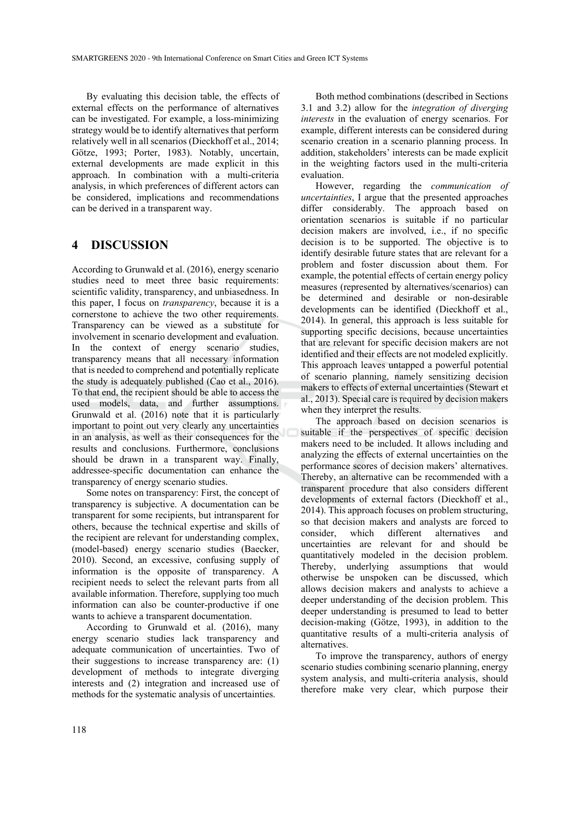By evaluating this decision table, the effects of external effects on the performance of alternatives can be investigated. For example, a loss-minimizing strategy would be to identify alternatives that perform relatively well in all scenarios (Dieckhoff et al., 2014; Götze, 1993; Porter, 1983). Notably, uncertain, external developments are made explicit in this approach. In combination with a multi-criteria analysis, in which preferences of different actors can be considered, implications and recommendations can be derived in a transparent way.

#### **4 DISCUSSION**

According to Grunwald et al. (2016), energy scenario studies need to meet three basic requirements: scientific validity, transparency, and unbiasedness. In this paper, I focus on *transparency*, because it is a cornerstone to achieve the two other requirements. Transparency can be viewed as a substitute for involvement in scenario development and evaluation. In the context of energy scenario studies, transparency means that all necessary information that is needed to comprehend and potentially replicate the study is adequately published (Cao et al., 2016). To that end, the recipient should be able to access the used models, data, and further assumptions. Grunwald et al. (2016) note that it is particularly important to point out very clearly any uncertainties in an analysis, as well as their consequences for the results and conclusions. Furthermore, conclusions should be drawn in a transparent way. Finally, addressee-specific documentation can enhance the transparency of energy scenario studies.

Some notes on transparency: First, the concept of transparency is subjective. A documentation can be transparent for some recipients, but intransparent for others, because the technical expertise and skills of the recipient are relevant for understanding complex, (model-based) energy scenario studies (Baecker, 2010). Second, an excessive, confusing supply of information is the opposite of transparency. A recipient needs to select the relevant parts from all available information. Therefore, supplying too much information can also be counter-productive if one wants to achieve a transparent documentation.

According to Grunwald et al. (2016), many energy scenario studies lack transparency and adequate communication of uncertainties. Two of their suggestions to increase transparency are: (1) development of methods to integrate diverging interests and (2) integration and increased use of methods for the systematic analysis of uncertainties.

Both method combinations (described in Sections 3.1 and 3.2) allow for the *integration of diverging interests* in the evaluation of energy scenarios. For example, different interests can be considered during scenario creation in a scenario planning process. In addition, stakeholders' interests can be made explicit in the weighting factors used in the multi-criteria evaluation.

However, regarding the *communication of uncertainties*, I argue that the presented approaches differ considerably. The approach based on orientation scenarios is suitable if no particular decision makers are involved, i.e., if no specific decision is to be supported. The objective is to identify desirable future states that are relevant for a problem and foster discussion about them. For example, the potential effects of certain energy policy measures (represented by alternatives/scenarios) can be determined and desirable or non-desirable developments can be identified (Dieckhoff et al., 2014). In general, this approach is less suitable for supporting specific decisions, because uncertainties that are relevant for specific decision makers are not identified and their effects are not modeled explicitly. This approach leaves untapped a powerful potential of scenario planning, namely sensitizing decision makers to effects of external uncertainties (Stewart et al., 2013). Special care is required by decision makers when they interpret the results.

The approach based on decision scenarios is suitable if the perspectives of specific decision makers need to be included. It allows including and analyzing the effects of external uncertainties on the performance scores of decision makers' alternatives. Thereby, an alternative can be recommended with a transparent procedure that also considers different developments of external factors (Dieckhoff et al., 2014). This approach focuses on problem structuring, so that decision makers and analysts are forced to consider, which different alternatives and uncertainties are relevant for and should be quantitatively modeled in the decision problem. Thereby, underlying assumptions that would otherwise be unspoken can be discussed, which allows decision makers and analysts to achieve a deeper understanding of the decision problem. This deeper understanding is presumed to lead to better decision-making (Götze, 1993), in addition to the quantitative results of a multi-criteria analysis of alternatives.

To improve the transparency, authors of energy scenario studies combining scenario planning, energy system analysis, and multi-criteria analysis, should therefore make very clear, which purpose their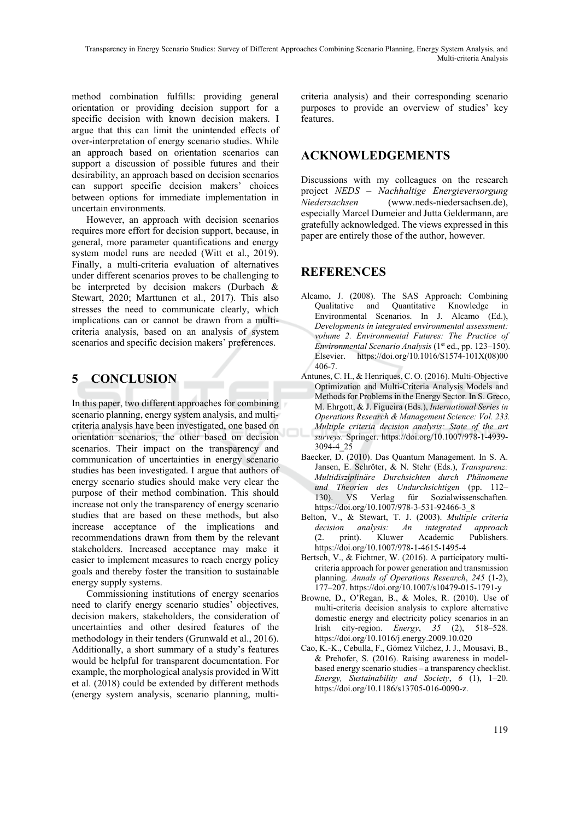method combination fulfills: providing general orientation or providing decision support for a specific decision with known decision makers. I argue that this can limit the unintended effects of over-interpretation of energy scenario studies. While an approach based on orientation scenarios can support a discussion of possible futures and their desirability, an approach based on decision scenarios can support specific decision makers' choices between options for immediate implementation in uncertain environments.

However, an approach with decision scenarios requires more effort for decision support, because, in general, more parameter quantifications and energy system model runs are needed (Witt et al., 2019). Finally, a multi-criteria evaluation of alternatives under different scenarios proves to be challenging to be interpreted by decision makers (Durbach & Stewart, 2020; Marttunen et al., 2017). This also stresses the need to communicate clearly, which implications can or cannot be drawn from a multicriteria analysis, based on an analysis of system scenarios and specific decision makers' preferences.

## **5 CONCLUSION**

In this paper, two different approaches for combining scenario planning, energy system analysis, and multicriteria analysis have been investigated, one based on orientation scenarios, the other based on decision scenarios. Their impact on the transparency and communication of uncertainties in energy scenario studies has been investigated. I argue that authors of energy scenario studies should make very clear the purpose of their method combination. This should increase not only the transparency of energy scenario studies that are based on these methods, but also increase acceptance of the implications and recommendations drawn from them by the relevant stakeholders. Increased acceptance may make it easier to implement measures to reach energy policy goals and thereby foster the transition to sustainable energy supply systems.

Commissioning institutions of energy scenarios need to clarify energy scenario studies' objectives, decision makers, stakeholders, the consideration of uncertainties and other desired features of the methodology in their tenders (Grunwald et al., 2016). Additionally, a short summary of a study's features would be helpful for transparent documentation. For example, the morphological analysis provided in Witt et al. (2018) could be extended by different methods (energy system analysis, scenario planning, multicriteria analysis) and their corresponding scenario purposes to provide an overview of studies' key features.

### **ACKNOWLEDGEMENTS**

Discussions with my colleagues on the research project *NEDS – Nachhaltige Energieversorgung Niedersachsen* (www.neds-niedersachsen.de), especially Marcel Dumeier and Jutta Geldermann, are gratefully acknowledged. The views expressed in this paper are entirely those of the author, however.

### **REFERENCES**

- Alcamo, J. (2008). The SAS Approach: Combining Qualitative and Quantitative Knowledge in Environmental Scenarios. In J. Alcamo (Ed.), *Developments in integrated environmental assessment: volume 2. Environmental Futures: The Practice of Environmental Scenario Analysis* (1<sup>st</sup> ed., pp. 123-150). Elsevier. https://doi.org/10.1016/S1574-101X(08)00 406-7.
- Antunes, C. H., & Henriques, C. O. (2016). Multi-Objective Optimization and Multi-Criteria Analysis Models and Methods for Problems in the Energy Sector. In S. Greco, M. Ehrgott, & J. Figueira (Eds.), *International Series in Operations Research & Management Science: Vol. 233. Multiple criteria decision analysis: State of the art surveys.* Springer. https://doi.org/10.1007/978-1-4939- 3094-4\_25
- Baecker, D. (2010). Das Quantum Management. In S. A. Jansen, E. Schröter, & N. Stehr (Eds.), *Transparenz: Multidisziplinäre Durchsichten durch Phänomene und Theorien des Undurchsichtigen* (pp. 112– 130). VS Verlag für Sozialwissenschaften. https://doi.org/10.1007/978-3-531-92466-3\_8
- Belton, V., & Stewart, T. J. (2003). *Multiple criteria decision analysis: An integrated approach* (2. print). Kluwer Academic Publishers. https://doi.org/10.1007/978-1-4615-1495-4
- Bertsch, V., & Fichtner, W. (2016). A participatory multicriteria approach for power generation and transmission planning. *Annals of Operations Research*, *245* (1-2), 177–207. https://doi.org/10.1007/s10479-015-1791-y
- Browne, D., O'Regan, B., & Moles, R. (2010). Use of multi-criteria decision analysis to explore alternative domestic energy and electricity policy scenarios in an Irish city-region. *Energy*, *35* (2), 518–528. https://doi.org/10.1016/j.energy.2009.10.020
- Cao, K.-K., Cebulla, F., Gómez Vilchez, J. J., Mousavi, B., & Prehofer, S. (2016). Raising awareness in modelbased energy scenario studies – a transparency checklist. *Energy, Sustainability and Society*, *6* (1), 1–20. https://doi.org/10.1186/s13705-016-0090-z.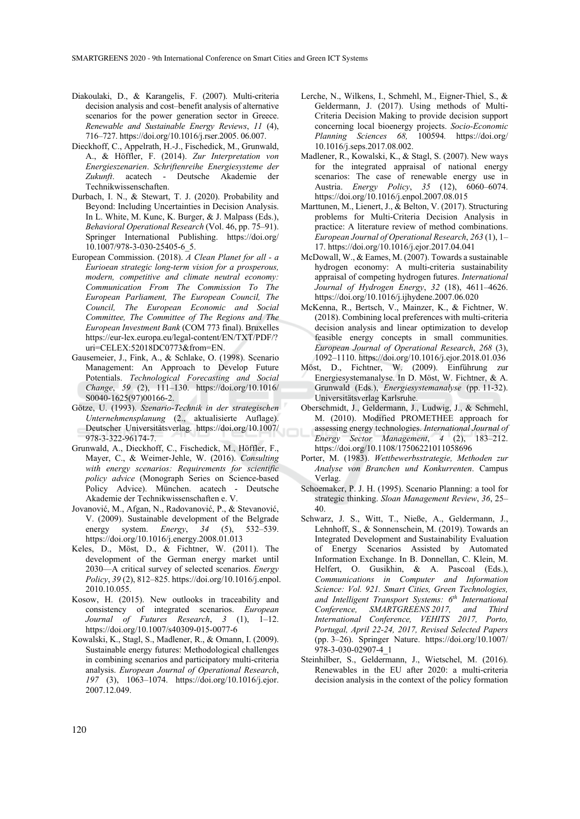- Diakoulaki, D., & Karangelis, F. (2007). Multi-criteria decision analysis and cost–benefit analysis of alternative scenarios for the power generation sector in Greece. *Renewable and Sustainable Energy Reviews*, *11* (4), 716–727. https://doi.org/10.1016/j.rser.2005. 06.007.
- Dieckhoff, C., Appelrath, H.-J., Fischedick, M., Grunwald, A., & Höffler, F. (2014). *Zur Interpretation von Energieszenarien*. *Schriftenreihe Energiesysteme der Zukunft*. acatech - Deutsche Akademie der Technikwissenschaften.
- Durbach, I. N., & Stewart, T. J. (2020). Probability and Beyond: Including Uncertainties in Decision Analysis. In L. White, M. Kunc, K. Burger, & J. Malpass (Eds.), *Behavioral Operational Research* (Vol. 46, pp. 75–91). Springer International Publishing. https://doi.org/ 10.1007/978-3-030-25405-6\_5.
- European Commission. (2018). *A Clean Planet for all a Eurioean strategic long-term vision for a prosperous, modern, competitive and climate neutral economy: Communication From The Commission To The European Parliament, The European Council, The Council, The European Economic and Social Committee, The Committee of The Regions and The European Investment Bank* (COM 773 final). Bruxelles https://eur-lex.europa.eu/legal-content/EN/TXT/PDF/? uri=CELEX:52018DC0773&from=EN.
- Gausemeier, J., Fink, A., & Schlake, O. (1998). Scenario Management: An Approach to Develop Future Potentials. *Technological Forecasting and Social Change*, *59* (2), 111–130. https://doi.org/10.1016/ S0040-1625(97)00166-2.
- Götze, U. (1993). *Szenario-Technik in der strategischen Unternehmensplanung* (2., aktualisierte Auflage). Deutscher Universitätsverlag. https://doi.org/10.1007/ 978-3-322-96174-7.
- Grunwald, A., Dieckhoff, C., Fischedick, M., Höffler, F., Mayer, C., & Weimer-Jehle, W. (2016). *Consulting with energy scenarios: Requirements for scientific policy advice* (Monograph Series on Science-based Policy Advice). München. acatech - Deutsche Akademie der Technikwissenschaften e. V.
- Jovanović, M., Afgan, N., Radovanović, P., & Stevanović, V. (2009). Sustainable development of the Belgrade energy system. *Energy*, 34 (5), 532–539. https://doi.org/10.1016/j.energy.2008.01.013
- Keles, D., Möst, D., & Fichtner, W. (2011). The development of the German energy market until 2030—A critical survey of selected scenarios. *Energy Policy*, *39* (2), 812–825. https://doi.org/10.1016/j.enpol. 2010.10.055.
- Kosow, H. (2015). New outlooks in traceability and consistency of integrated scenarios. *European Journal of Futures Research*, *3* (1), 1–12. https://doi.org/10.1007/s40309-015-0077-6
- Kowalski, K., Stagl, S., Madlener, R., & Omann, I. (2009). Sustainable energy futures: Methodological challenges in combining scenarios and participatory multi-criteria analysis. *European Journal of Operational Research*, *197* (3), 1063–1074. https://doi.org/10.1016/j.ejor. 2007.12.049.
- Lerche, N., Wilkens, I., Schmehl, M., Eigner-Thiel, S., & Geldermann, J. (2017). Using methods of Multi-Criteria Decision Making to provide decision support concerning local bioenergy projects. *Socio-Economic Planning Sciences 68,* 100594*.* https://doi.org/ 10.1016/j.seps.2017.08.002.
- Madlener, R., Kowalski, K., & Stagl, S. (2007). New ways for the integrated appraisal of national energy scenarios: The case of renewable energy use in Austria. *Energy Policy*, *35* (12), 6060–6074. https://doi.org/10.1016/j.enpol.2007.08.015
- Marttunen, M., Lienert, J., & Belton, V. (2017). Structuring problems for Multi-Criteria Decision Analysis in practice: A literature review of method combinations. *European Journal of Operational Research*, *263* (1), 1– 17. https://doi.org/10.1016/j.ejor.2017.04.041
- McDowall, W., & Eames, M. (2007). Towards a sustainable hydrogen economy: A multi-criteria sustainability appraisal of competing hydrogen futures. *International Journal of Hydrogen Energy*, *32* (18), 4611–4626. https://doi.org/10.1016/j.ijhydene.2007.06.020
- McKenna, R., Bertsch, V., Mainzer, K., & Fichtner, W. (2018). Combining local preferences with multi-criteria decision analysis and linear optimization to develop feasible energy concepts in small communities. *European Journal of Operational Research*, *268* (3), 1092–1110. https://doi.org/10.1016/j.ejor.2018.01.036
- Möst, D., Fichtner, W. (2009). Einführung zur Energiesystemanalyse. In D. Möst, W. Fichtner, & A. Grunwald (Eds.), *Energiesystemanalyse* (pp. 11-32). Universitätsverlag Karlsruhe.
- Oberschmidt, J., Geldermann, J., Ludwig, J., & Schmehl, M. (2010). Modified PROMETHEE approach for assessing energy technologies. *International Journal of Energy Sector Management*, *4* (2), 183–212. https://doi.org/10.1108/17506221011058696
- Porter, M. (1983). *Wettbewerbsstrategie, Methoden zur Analyse von Branchen und Konkurrenten*. Campus Verlag.
- Schoemaker, P. J. H. (1995). Scenario Planning: a tool for strategic thinking. *Sloan Management Review*, *36*, 25– 40.
- Schwarz, J. S., Witt, T., Nieße, A., Geldermann, J., Lehnhoff, S., & Sonnenschein, M. (2019). Towards an Integrated Development and Sustainability Evaluation of Energy Scenarios Assisted by Automated Information Exchange. In B. Donnellan, C. Klein, M. Helfert, O. Gusikhin, & A. Pascoal (Eds.), *Communications in Computer and Information Science: Vol. 921. Smart Cities, Green Technologies, and Intelligent Transport Systems: 6th International Conference, SMARTGREENS 2017, and Third International Conference, VEHITS 2017, Porto, Portugal, April 22-24, 2017, Revised Selected Papers*  (pp. 3–26). Springer Nature. https://doi.org/10.1007/ 978-3-030-02907-4\_1
- Steinhilber, S., Geldermann, J., Wietschel, M. (2016). Renewables in the EU after 2020: a multi-criteria decision analysis in the context of the policy formation